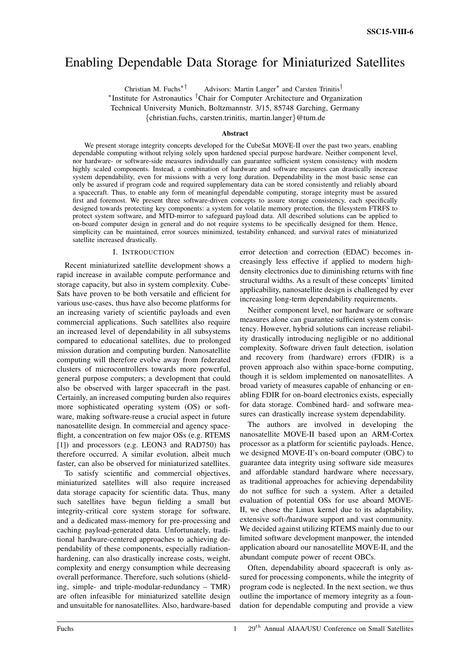# Enabling Dependable Data Storage for Miniaturized Satellites

Christian M. Fuchs<sup>\*†</sup> Advisors: Martin Langer<sup>\*</sup> and Carsten Trinitis<sup>†</sup> ∗ Institute for Astronautics †Chair for Computer Architecture and Organization Technical University Munich, Boltzmannstr. 3/15, 85748 Garching, Germany {christian.fuchs, carsten.trinitis, martin.langer}@tum.de

#### Abstract

We present storage integrity concepts developed for the CubeSat MOVE-II over the past two years, enabling dependable computing without relying solely upon hardened special purpose hardware. Neither component level, nor hardware- or software-side measures individually can guarantee sufficient system consistency with modern highly scaled components. Instead, a combination of hardware and software measures can drastically increase system dependability, even for missions with a very long duration. Dependability in the most basic sense can only be assured if program code and required supplementary data can be stored consistently and reliably aboard a spacecraft. Thus, to enable any form of meaningful dependable computing, storage integrity must be assured first and foremost. We present three software-driven concepts to assure storage consistency, each specifically designed towards protecting key components: a system for volatile memory protection, the filesystem FTRFS to protect system software, and MTD-mirror to safeguard payload data. All described solutions can be applied to on-board computer design in general and do not require systems to be specifically designed for them. Hence, simplicity can be maintained, error sources minimized, testability enhanced, and survival rates of miniaturized satellite increased drastically.

#### I. INTRODUCTION

Recent miniaturized satellite development shows a rapid increase in available compute performance and storage capacity, but also in system complexity. Cube-Sats have proven to be both versatile and efficient for various use-cases, thus have also become platforms for an increasing variety of scientific payloads and even commercial applications. Such satellites also require an increased level of dependability in all subsystems compared to educational satellites, due to prolonged mission duration and computing burden. Nanosatellite computing will therefore evolve away from federated clusters of microcontrollers towards more powerful, general purpose computers; a development that could also be observed with larger spacecraft in the past. Certainly, an increased computing burden also requires more sophisticated operating system (OS) or software, making software-reuse a crucial aspect in future nanosatellite design. In commercial and agency spaceflight, a concentration on few major OSs (e.g. RTEMS [1]) and processors (e.g. LEON3 and RAD750) has therefore occurred. A similar evolution, albeit much faster, can also be observed for miniaturized satellites.

To satisfy scientific and commercial objectives, miniaturized satellites will also require increased data storage capacity for scientific data. Thus, many such satellites have begun fielding a small but integrity-critical core system storage for software, and a dedicated mass-memory for pre-processing and caching payload-generated data. Unfortunately, traditional hardware-centered approaches to achieving dependability of these components, especially radiationhardening, can also drastically increase costs, weight, complexity and energy consumption while decreasing overall performance. Therefore, such solutions (shielding, simple- and triple-modular-redundancy – TMR) are often infeasible for miniaturized satellite design and unsuitable for nanosatellites. Also, hardware-based error detection and correction (EDAC) becomes increasingly less effective if applied to modern highdensity electronics due to diminishing returns with fine structural widths. As a result of these concepts' limited applicability, nanosatellite design is challenged by ever increasing long-term dependability requirements.

Neither component level, nor hardware or software measures alone can guarantee sufficient system consistency. However, hybrid solutions can increase reliability drastically introducing negligible or no additional complexity. Software driven fault detection, isolation and recovery from (hardware) errors (FDIR) is a proven approach also within space-borne computing, though it is seldom implemented on nanosatellites. A broad variety of measures capable of enhancing or enabling FDIR for on-board electronics exists, especially for data storage. Combined hard- and software measures can drastically increase system dependability.

The authors are involved in developing the nanosatellite MOVE-II based upon an ARM-Cortex processor as a platform for scientific payloads. Hence, we designed MOVE-II's on-board computer (OBC) to guarantee data integrity using software side measures and affordable standard hardware where necessary, as traditional approaches for achieving dependability do not suffice for such a system. After a detailed evaluation of potential OSs for use aboard MOVE-II, we chose the Linux kernel due to its adaptability, extensive soft-/hardware support and vast community. We decided against utilizing RTEMS mainly due to our limited software development manpower, the intended application aboard our nanosatellite MOVE-II, and the abundant compute power of recent OBCs.

Often, dependability aboard spacecraft is only assured for processing components, while the integrity of program code is neglected. In the next section, we thus outline the importance of memory integrity as a foundation for dependable computing and provide a view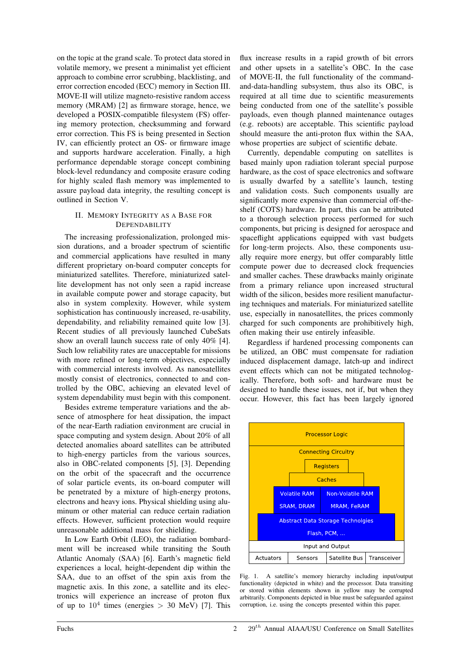on the topic at the grand scale. To protect data stored in volatile memory, we present a minimalist yet efficient approach to combine error scrubbing, blacklisting, and error correction encoded (ECC) memory in Section III. MOVE-II will utilize magneto-resistive random access memory (MRAM) [2] as firmware storage, hence, we developed a POSIX-compatible filesystem (FS) offering memory protection, checksumming and forward error correction. This FS is being presented in Section IV, can efficiently protect an OS- or firmware image and supports hardware acceleration. Finally, a high performance dependable storage concept combining block-level redundancy and composite erasure coding for highly scaled flash memory was implemented to assure payload data integrity, the resulting concept is outlined in Section V.

## II. MEMORY INTEGRITY AS A BASE FOR **DEPENDABILITY**

The increasing professionalization, prolonged mission durations, and a broader spectrum of scientific and commercial applications have resulted in many different proprietary on-board computer concepts for miniaturized satellites. Therefore, miniaturized satellite development has not only seen a rapid increase in available compute power and storage capacity, but also in system complexity. However, while system sophistication has continuously increased, re-usability, dependability, and reliability remained quite low [3]. Recent studies of all previously launched CubeSats show an overall launch success rate of only 40% [4]. Such low reliability rates are unacceptable for missions with more refined or long-term objectives, especially with commercial interests involved. As nanosatellites mostly consist of electronics, connected to and controlled by the OBC, achieving an elevated level of system dependability must begin with this component.

Besides extreme temperature variations and the absence of atmosphere for heat dissipation, the impact of the near-Earth radiation environment are crucial in space computing and system design. About 20% of all detected anomalies aboard satellites can be attributed to high-energy particles from the various sources, also in OBC-related components [5], [3]. Depending on the orbit of the spacecraft and the occurrence of solar particle events, its on-board computer will be penetrated by a mixture of high-energy protons, electrons and heavy ions. Physical shielding using aluminum or other material can reduce certain radiation effects. However, sufficient protection would require unreasonable additional mass for shielding.

In Low Earth Orbit (LEO), the radiation bombardment will be increased while transiting the South Atlantic Anomaly (SAA) [6]. Earth's magnetic field experiences a local, height-dependent dip within the SAA, due to an offset of the spin axis from the magnetic axis. In this zone, a satellite and its electronics will experience an increase of proton flux of up to  $10^4$  times (energies > 30 MeV) [7]. This

flux increase results in a rapid growth of bit errors and other upsets in a satellite's OBC. In the case of MOVE-II, the full functionality of the commandand-data-handling subsystem, thus also its OBC, is required at all time due to scientific measurements being conducted from one of the satellite's possible payloads, even though planned maintenance outages (e.g. reboots) are acceptable. This scientific payload should measure the anti-proton flux within the SAA, whose properties are subject of scientific debate.

Currently, dependable computing on satellites is based mainly upon radiation tolerant special purpose hardware, as the cost of space electronics and software is usually dwarfed by a satellite's launch, testing and validation costs. Such components usually are significantly more expensive than commercial off-theshelf (COTS) hardware. In part, this can be attributed to a thorough selection process performed for such components, but pricing is designed for aerospace and spaceflight applications equipped with vast budgets for long-term projects. Also, these components usually require more energy, but offer comparably little compute power due to decreased clock frequencies and smaller caches. These drawbacks mainly originate from a primary reliance upon increased structural width of the silicon, besides more resilient manufacturing techniques and materials. For miniaturized satellite use, especially in nanosatellites, the prices commonly charged for such components are prohibitively high, often making their use entirely infeasible.

Regardless if hardened processing components can be utilized, an OBC must compensate for radiation induced displacement damage, latch-up and indirect event effects which can not be mitigated technologically. Therefore, both soft- and hardware must be designed to handle these issues, not if, but when they occur. However, this fact has been largely ignored



Fig. 1. A satellite's memory hierarchy including input/output functionality (depicted in white) and the processor. Data transiting or stored within elements shown in yellow may be corrupted arbitrarily. Components depicted in blue must be safeguarded against corruption, i.e. using the concepts presented within this paper.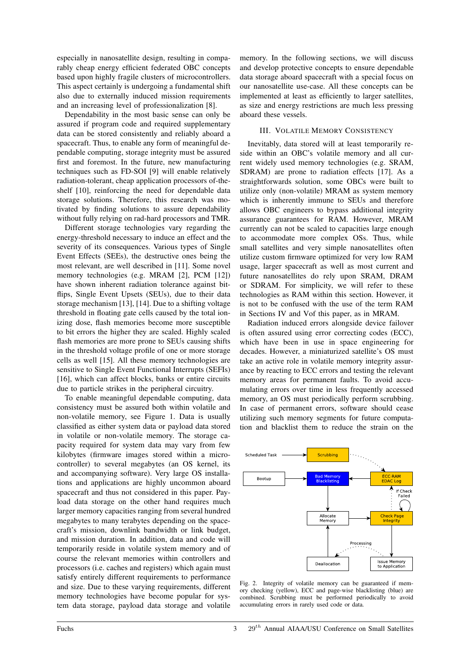especially in nanosatellite design, resulting in comparably cheap energy efficient federated OBC concepts based upon highly fragile clusters of microcontrollers. This aspect certainly is undergoing a fundamental shift also due to externally induced mission requirements and an increasing level of professionalization [8].

Dependability in the most basic sense can only be assured if program code and required supplementary data can be stored consistently and reliably aboard a spacecraft. Thus, to enable any form of meaningful dependable computing, storage integrity must be assured first and foremost. In the future, new manufacturing techniques such as FD-SOI [9] will enable relatively radiation-tolerant, cheap application processors of-theshelf [10], reinforcing the need for dependable data storage solutions. Therefore, this research was motivated by finding solutions to assure dependability without fully relying on rad-hard processors and TMR.

Different storage technologies vary regarding the energy-threshold necessary to induce an effect and the severity of its consequences. Various types of Single Event Effects (SEEs), the destructive ones being the most relevant, are well described in [11]. Some novel memory technologies (e.g. MRAM [2], PCM [12]) have shown inherent radiation tolerance against bitflips, Single Event Upsets (SEUs), due to their data storage mechanism [13], [14]. Due to a shifting voltage threshold in floating gate cells caused by the total ionizing dose, flash memories become more susceptible to bit errors the higher they are scaled. Highly scaled flash memories are more prone to SEUs causing shifts in the threshold voltage profile of one or more storage cells as well [15]. All these memory technologies are sensitive to Single Event Functional Interrupts (SEFIs) [16], which can affect blocks, banks or entire circuits due to particle strikes in the peripheral circuitry.

To enable meaningful dependable computing, data consistency must be assured both within volatile and non-volatile memory, see Figure 1. Data is usually classified as either system data or payload data stored in volatile or non-volatile memory. The storage capacity required for system data may vary from few kilobytes (firmware images stored within a microcontroller) to several megabytes (an OS kernel, its and accompanying software). Very large OS installations and applications are highly uncommon aboard spacecraft and thus not considered in this paper. Payload data storage on the other hand requires much larger memory capacities ranging from several hundred megabytes to many terabytes depending on the spacecraft's mission, downlink bandwidth or link budget, and mission duration. In addition, data and code will temporarily reside in volatile system memory and of course the relevant memories within controllers and processors (i.e. caches and registers) which again must satisfy entirely different requirements to performance and size. Due to these varying requirements, different memory technologies have become popular for system data storage, payload data storage and volatile memory. In the following sections, we will discuss and develop protective concepts to ensure dependable data storage aboard spacecraft with a special focus on our nanosatellite use-case. All these concepts can be implemented at least as efficiently to larger satellites, as size and energy restrictions are much less pressing aboard these vessels.

## III. VOLATILE MEMORY CONSISTENCY

Inevitably, data stored will at least temporarily reside within an OBC's volatile memory and all current widely used memory technologies (e.g. SRAM, SDRAM) are prone to radiation effects [17]. As a straightforwards solution, some OBCs were built to utilize only (non-volatile) MRAM as system memory which is inherently immune to SEUs and therefore allows OBC engineers to bypass additional integrity assurance guarantees for RAM. However, MRAM currently can not be scaled to capacities large enough to accommodate more complex OSs. Thus, while small satellites and very simple nanosatellites often utilize custom firmware optimized for very low RAM usage, larger spacecraft as well as most current and future nanosatellites do rely upon SRAM, DRAM or SDRAM. For simplicity, we will refer to these technologies as RAM within this section. However, it is not to be confused with the use of the term RAM in Sections IV and Vof this paper, as in MRAM.

Radiation induced errors alongside device failover is often assured using error correcting codes (ECC), which have been in use in space engineering for decades. However, a miniaturized satellite's OS must take an active role in volatile memory integrity assurance by reacting to ECC errors and testing the relevant memory areas for permanent faults. To avoid accumulating errors over time in less frequently accessed memory, an OS must periodically perform scrubbing. In case of permanent errors, software should cease utilizing such memory segments for future computation and blacklist them to reduce the strain on the



Fig. 2. Integrity of volatile memory can be guaranteed if memory checking (yellow), ECC and page-wise blacklisting (blue) are combined. Scrubbing must be performed periodically to avoid accumulating errors in rarely used code or data.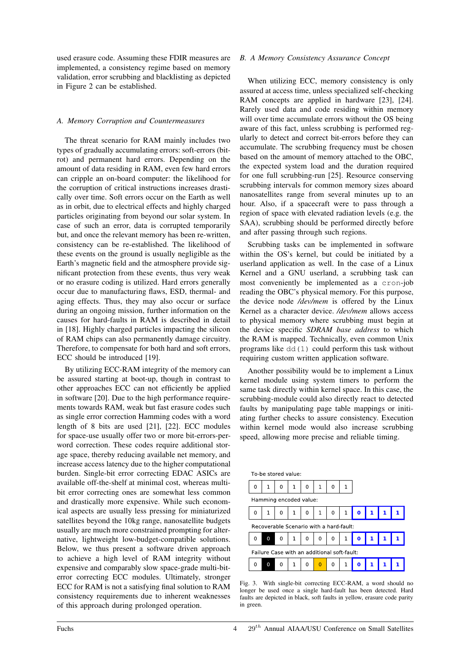used erasure code. Assuming these FDIR measures are implemented, a consistency regime based on memory validation, error scrubbing and blacklisting as depicted in Figure 2 can be established.

#### *A. Memory Corruption and Countermeasures*

The threat scenario for RAM mainly includes two types of gradually accumulating errors: soft-errors (bitrot) and permanent hard errors. Depending on the amount of data residing in RAM, even few hard errors can cripple an on-board computer: the likelihood for the corruption of critical instructions increases drastically over time. Soft errors occur on the Earth as well as in orbit, due to electrical effects and highly charged particles originating from beyond our solar system. In case of such an error, data is corrupted temporarily but, and once the relevant memory has been re-written, consistency can be re-established. The likelihood of these events on the ground is usually negligible as the Earth's magnetic field and the atmosphere provide significant protection from these events, thus very weak or no erasure coding is utilized. Hard errors generally occur due to manufacturing flaws, ESD, thermal- and aging effects. Thus, they may also occur or surface during an ongoing mission, further information on the causes for hard-faults in RAM is described in detail in [18]. Highly charged particles impacting the silicon of RAM chips can also permanently damage circuitry. Therefore, to compensate for both hard and soft errors, ECC should be introduced [19].

By utilizing ECC-RAM integrity of the memory can be assured starting at boot-up, though in contrast to other approaches ECC can not efficiently be applied in software [20]. Due to the high performance requirements towards RAM, weak but fast erasure codes such as single error correction Hamming codes with a word length of 8 bits are used [21], [22]. ECC modules for space-use usually offer two or more bit-errors-perword correction. These codes require additional storage space, thereby reducing available net memory, and increase access latency due to the higher computational burden. Single-bit error correcting EDAC ASICs are available off-the-shelf at minimal cost, whereas multibit error correcting ones are somewhat less common and drastically more expensive. While such economical aspects are usually less pressing for miniaturized satellites beyond the 10kg range, nanosatellite budgets usually are much more constrained prompting for alternative, lightweight low-budget-compatible solutions. Below, we thus present a software driven approach to achieve a high level of RAM integrity without expensive and comparably slow space-grade multi-biterror correcting ECC modules. Ultimately, stronger ECC for RAM is not a satisfying final solution to RAM consistency requirements due to inherent weaknesses of this approach during prolonged operation.

## *B. A Memory Consistency Assurance Concept*

When utilizing ECC, memory consistency is only assured at access time, unless specialized self-checking RAM concepts are applied in hardware [23], [24]. Rarely used data and code residing within memory will over time accumulate errors without the OS being aware of this fact, unless scrubbing is performed regularly to detect and correct bit-errors before they can accumulate. The scrubbing frequency must be chosen based on the amount of memory attached to the OBC, the expected system load and the duration required for one full scrubbing-run [25]. Resource conserving scrubbing intervals for common memory sizes aboard nanosatellites range from several minutes up to an hour. Also, if a spacecraft were to pass through a region of space with elevated radiation levels (e.g. the SAA), scrubbing should be performed directly before and after passing through such regions.

Scrubbing tasks can be implemented in software within the OS's kernel, but could be initiated by a userland application as well. In the case of a Linux Kernel and a GNU userland, a scrubbing task can most conveniently be implemented as a cron-job reading the OBC's physical memory. For this purpose, the device node */dev/mem* is offered by the Linux Kernel as a character device. */dev/mem* allows access to physical memory where scrubbing must begin at the device specific *SDRAM base address* to which the RAM is mapped. Technically, even common Unix programs like dd(1) could perform this task without requiring custom written application software.

Another possibility would be to implement a Linux kernel module using system timers to perform the same task directly within kernel space. In this case, the scrubbing-module could also directly react to detected faults by manipulating page table mappings or initiating further checks to assure consistency. Execution within kernel mode would also increase scrubbing speed, allowing more precise and reliable timing.

| To-be stored value:                         |   |   |   |   |                |   |              |   |  |  |
|---------------------------------------------|---|---|---|---|----------------|---|--------------|---|--|--|
| O                                           | 1 | 0 | 1 | 0 | 1              | 0 |              |   |  |  |
| Hamming encoded value:                      |   |   |   |   |                |   |              |   |  |  |
| O                                           | 1 | 0 | 1 | 0 | 1              | 0 | $\mathbf{1}$ | 0 |  |  |
| Recoverable Scenario with a hard-fault:     |   |   |   |   |                |   |              |   |  |  |
| O                                           | 0 | 0 | 1 | 0 | 0              | 0 | 1            | 0 |  |  |
| Failure Case with an additional soft-fault: |   |   |   |   |                |   |              |   |  |  |
| n                                           | 0 | 0 | 1 | 0 | $\overline{0}$ | 0 | 1            |   |  |  |

Fig. 3. With single-bit correcting ECC-RAM, a word should no longer be used once a single hard-fault has been detected. Hard faults are depicted in black, soft faults in yellow, erasure code parity in green.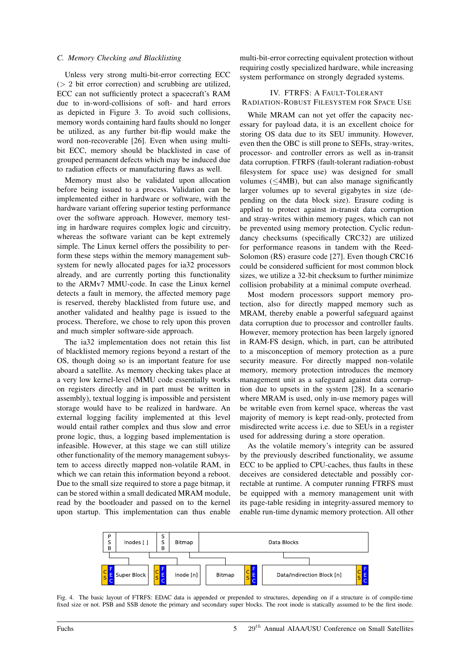#### *C. Memory Checking and Blacklisting*

Unless very strong multi-bit-error correcting ECC  $(> 2$  bit error correction) and scrubbing are utilized, ECC can not sufficiently protect a spacecraft's RAM due to in-word-collisions of soft- and hard errors as depicted in Figure 3. To avoid such collisions, memory words containing hard faults should no longer be utilized, as any further bit-flip would make the word non-recoverable [26]. Even when using multibit ECC, memory should be blacklisted in case of grouped permanent defects which may be induced due to radiation effects or manufacturing flaws as well.

Memory must also be validated upon allocation before being issued to a process. Validation can be implemented either in hardware or software, with the hardware variant offering superior testing performance over the software approach. However, memory testing in hardware requires complex logic and circuitry, whereas the software variant can be kept extremely simple. The Linux kernel offers the possibility to perform these steps within the memory management subsystem for newly allocated pages for ia32 processors already, and are currently porting this functionality to the ARMv7 MMU-code. In case the Linux kernel detects a fault in memory, the affected memory page is reserved, thereby blacklisted from future use, and another validated and healthy page is issued to the process. Therefore, we chose to rely upon this proven and much simpler software-side approach.

The ia32 implementation does not retain this list of blacklisted memory regions beyond a restart of the OS, though doing so is an important feature for use aboard a satellite. As memory checking takes place at a very low kernel-level (MMU code essentially works on registers directly and in part must be written in assembly), textual logging is impossible and persistent storage would have to be realized in hardware. An external logging facility implemented at this level would entail rather complex and thus slow and error prone logic, thus, a logging based implementation is infeasible. However, at this stage we can still utilize other functionality of the memory management subsystem to access directly mapped non-volatile RAM, in which we can retain this information beyond a reboot. Due to the small size required to store a page bitmap, it can be stored within a small dedicated MRAM module, read by the bootloader and passed on to the kernel upon startup. This implementation can thus enable

multi-bit-error correcting equivalent protection without requiring costly specialized hardware, while increasing system performance on strongly degraded systems.

# IV. FTRFS: A FAULT-TOLERANT RADIATION-ROBUST FILESYSTEM FOR SPACE USE

While MRAM can not yet offer the capacity necessary for payload data, it is an excellent choice for storing OS data due to its SEU immunity. However, even then the OBC is still prone to SEFIs, stray-writes, processor- and controller errors as well as in-transit data corruption. FTRFS (fault-tolerant radiation-robust filesystem for space use) was designed for small volumes  $(\leq 4MB)$ , but can also manage significantly larger volumes up to several gigabytes in size (depending on the data block size). Erasure coding is applied to protect against in-transit data corruption and stray-writes within memory pages, which can not be prevented using memory protection. Cyclic redundancy checksums (specifically CRC32) are utilized for performance reasons in tandem with the Reed-Solomon (RS) erasure code [27]. Even though CRC16 could be considered sufficient for most common block sizes, we utilize a 32-bit checksum to further minimize collision probability at a minimal compute overhead.

Most modern processors support memory protection, also for directly mapped memory such as MRAM, thereby enable a powerful safeguard against data corruption due to processor and controller faults. However, memory protection has been largely ignored in RAM-FS design, which, in part, can be attributed to a misconception of memory protection as a pure security measure. For directly mapped non-volatile memory, memory protection introduces the memory management unit as a safeguard against data corruption due to upsets in the system [28]. In a scenario where MRAM is used, only in-use memory pages will be writable even from kernel space, whereas the vast majority of memory is kept read-only, protected from misdirected write access i.e. due to SEUs in a register used for addressing during a store operation.

As the volatile memory's integrity can be assured by the previously described functionality, we assume ECC to be applied to CPU-caches, thus faults in these deceives are considered detectable and possibly correctable at runtime. A computer running FTRFS must be equipped with a memory management unit with its page-table residing in integrity-assured memory to enable run-time dynamic memory protection. All other



Fig. 4. The basic layout of FTRFS: EDAC data is appended or prepended to structures, depending on if a structure is of compile-time fixed size or not. PSB and SSB denote the primary and secondary super blocks. The root inode is statically assumed to be the first inode.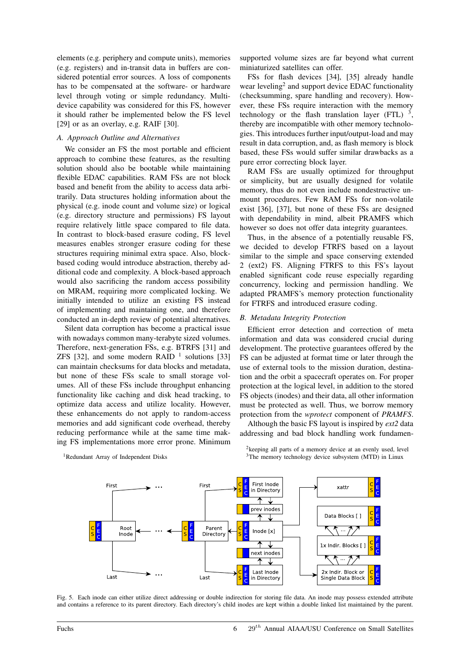elements (e.g. periphery and compute units), memories (e.g. registers) and in-transit data in buffers are considered potential error sources. A loss of components has to be compensated at the software- or hardware level through voting or simple redundancy. Multidevice capability was considered for this FS, however it should rather be implemented below the FS level [29] or as an overlay, e.g. RAIF [30].

#### *A. Approach Outline and Alternatives*

We consider an FS the most portable and efficient approach to combine these features, as the resulting solution should also be bootable while maintaining flexible EDAC capabilities. RAM FSs are not block based and benefit from the ability to access data arbitrarily. Data structures holding information about the physical (e.g. inode count and volume size) or logical (e.g. directory structure and permissions) FS layout require relatively little space compared to file data. In contrast to block-based erasure coding, FS level measures enables stronger erasure coding for these structures requiring minimal extra space. Also, blockbased coding would introduce abstraction, thereby additional code and complexity. A block-based approach would also sacrificing the random access possibility on MRAM, requiring more complicated locking. We initially intended to utilize an existing FS instead of implementing and maintaining one, and therefore conducted an in-depth review of potential alternatives.

Silent data corruption has become a practical issue with nowadays common many-terabyte sized volumes. Therefore, next-generation FSs, e.g. BTRFS [31] and ZFS [32], and some modern RAID  $<sup>1</sup>$  solutions [33]</sup> can maintain checksums for data blocks and metadata, but none of these FSs scale to small storage volumes. All of these FSs include throughput enhancing functionality like caching and disk head tracking, to optimize data access and utilize locality. However, these enhancements do not apply to random-access memories and add significant code overhead, thereby reducing performance while at the same time making FS implementations more error prone. Minimum supported volume sizes are far beyond what current miniaturized satellites can offer.

FSs for flash devices [34], [35] already handle wear leveling<sup>2</sup> and support device EDAC functionality (checksumming, spare handling and recovery). However, these FSs require interaction with the memory technology or the flash translation layer (FTL)  $^3$ , thereby are incompatible with other memory technologies. This introduces further input/output-load and may result in data corruption, and, as flash memory is block based, these FSs would suffer similar drawbacks as a pure error correcting block layer.

RAM FSs are usually optimized for throughput or simplicity, but are usually designed for volatile memory, thus do not even include nondestructive unmount procedures. Few RAM FSs for non-volatile exist [36], [37], but none of these FSs are designed with dependability in mind, albeit PRAMFS which however so does not offer data integrity guarantees.

Thus, in the absence of a potentially reusable FS, we decided to develop FTRFS based on a layout similar to the simple and space conserving extended 2 (ext2) FS. Aligning FTRFS to this FS's layout enabled significant code reuse especially regarding concurrency, locking and permission handling. We adapted PRAMFS's memory protection functionality for FTRFS and introduced erasure coding.

#### *B. Metadata Integrity Protection*

Efficient error detection and correction of meta information and data was considered crucial during development. The protective guarantees offered by the FS can be adjusted at format time or later through the use of external tools to the mission duration, destination and the orbit a spacecraft operates on. For proper protection at the logical level, in addition to the stored FS objects (inodes) and their data, all other information must be protected as well. Thus, we borrow memory protection from the *wprotect* component of *PRAMFS*.

Although the basic FS layout is inspired by *ext2* data addressing and bad block handling work fundamen-

<sup>1</sup>Redundant Array of Independent Disks

<sup>2</sup> keeping all parts of a memory device at an evenly used, level <sup>3</sup>The memory technology device subsystem (MTD) in Linux



Fig. 5. Each inode can either utilize direct addressing or double indirection for storing file data. An inode may possess extended attribute and contains a reference to its parent directory. Each directory's child inodes are kept within a double linked list maintained by the parent.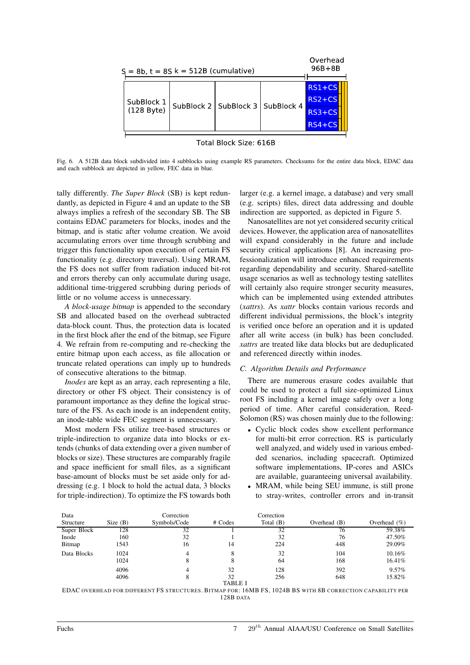

Fig. 6. A 512B data block subdivided into 4 subblocks using example RS parameters. Checksums for the entire data block, EDAC data and each subblock are depicted in yellow, FEC data in blue.

tally differently. *The Super Block* (SB) is kept redundantly, as depicted in Figure 4 and an update to the SB always implies a refresh of the secondary SB. The SB contains EDAC parameters for blocks, inodes and the bitmap, and is static after volume creation. We avoid accumulating errors over time through scrubbing and trigger this functionality upon execution of certain FS functionality (e.g. directory traversal). Using MRAM, the FS does not suffer from radiation induced bit-rot and errors thereby can only accumulate during usage, additional time-triggered scrubbing during periods of little or no volume access is unnecessary.

*A block-usage bitmap* is appended to the secondary SB and allocated based on the overhead subtracted data-block count. Thus, the protection data is located in the first block after the end of the bitmap, see Figure 4. We refrain from re-computing and re-checking the entire bitmap upon each access, as file allocation or truncate related operations can imply up to hundreds of consecutive alterations to the bitmap.

*Inodes* are kept as an array, each representing a file, directory or other FS object. Their consistency is of paramount importance as they define the logical structure of the FS. As each inode is an independent entity, an inode-table wide FEC segment is unnecessary.

Most modern FSs utilize tree-based structures or triple-indirection to organize data into blocks or extends (chunks of data extending over a given number of blocks or size). These structures are comparably fragile and space inefficient for small files, as a significant base-amount of blocks must be set aside only for addressing (e.g. 1 block to hold the actual data, 3 blocks for triple-indirection). To optimize the FS towards both larger (e.g. a kernel image, a database) and very small (e.g. scripts) files, direct data addressing and double indirection are supported, as depicted in Figure 5.

Nanosatellites are not yet considered security critical devices. However, the application area of nanosatellites will expand considerably in the future and include security critical applications [8]. An increasing professionalization will introduce enhanced requirements regarding dependability and security. Shared-satellite usage scenarios as well as technology testing satellites will certainly also require stronger security measures, which can be implemented using extended attributes (*xattrs*). As *xattr* blocks contain various records and different individual permissions, the block's integrity is verified once before an operation and it is updated after all write access (in bulk) has been concluded. *xattrs* are treated like data blocks but are deduplicated and referenced directly within inodes.

## *C. Algorithm Details and Performance*

There are numerous erasure codes available that could be used to protect a full size-optimized Linux root FS including a kernel image safely over a long period of time. After careful consideration, Reed-Solomon (RS) was chosen mainly due to the following:

- Cyclic block codes show excellent performance for multi-bit error correction. RS is particularly well analyzed, and widely used in various embedded scenarios, including spacecraft. Optimized software implementations, IP-cores and ASICs are available, guaranteeing universal availability.
- MRAM, while being SEU immune, is still prone to stray-writes, controller errors and in-transit

| Data        |            | Correction   |                | Correction  |                |                  |
|-------------|------------|--------------|----------------|-------------|----------------|------------------|
| Structure   | Size $(B)$ | Symbols/Code | # Codes        | Total $(B)$ | Overhead $(B)$ | Overhead $(\% )$ |
| Super Block | 128        | 32           |                | 32          | 76             | 59.38%           |
| Inode       | 160        | 32           |                | 32          | 76             | 47.50%           |
| Bitmap      | 1543       | 16           | 14             | 224         | 448            | 29.09%           |
| Data Blocks | 1024       | 4            | 8              | 32          | 104            | 10.16%           |
|             | 1024       |              |                | 64          | 168            | 16.41%           |
|             | 4096       | 4            | 32             | 128         | 392            | 9.57%            |
|             | 4096       |              | 32             | 256         | 648            | 15.82%           |
|             |            |              | <b>TABLE I</b> |             |                |                  |

EDAC OVERHEAD FOR DIFFERENT FS STRUCTURES. BITMAP FOR: 16MB FS, 1024B BS WITH 8B CORRECTION CAPABILITY PER 128B DATA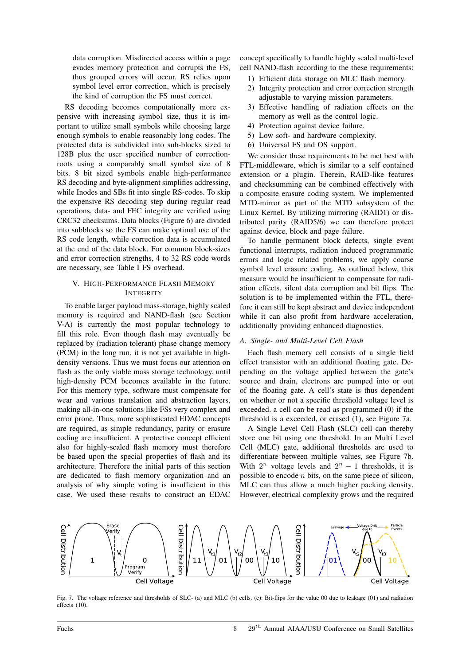data corruption. Misdirected access within a page evades memory protection and corrupts the FS, thus grouped errors will occur. RS relies upon symbol level error correction, which is precisely the kind of corruption the FS must correct.

RS decoding becomes computationally more expensive with increasing symbol size, thus it is important to utilize small symbols while choosing large enough symbols to enable reasonably long codes. The protected data is subdivided into sub-blocks sized to 128B plus the user specified number of correctionroots using a comparably small symbol size of 8 bits. 8 bit sized symbols enable high-performance RS decoding and byte-alignment simplifies addressing, while Inodes and SBs fit into single RS-codes. To skip the expensive RS decoding step during regular read operations, data- and FEC integrity are verified using CRC32 checksums. Data blocks (Figure 6) are divided into subblocks so the FS can make optimal use of the RS code length, while correction data is accumulated at the end of the data block. For common block-sizes and error correction strengths, 4 to 32 RS code words are necessary, see Table I FS overhead.

## V. HIGH-PERFORMANCE FLASH MEMORY **INTEGRITY**

To enable larger payload mass-storage, highly scaled memory is required and NAND-flash (see Section V-A) is currently the most popular technology to fill this role. Even though flash may eventually be replaced by (radiation tolerant) phase change memory (PCM) in the long run, it is not yet available in highdensity versions. Thus we must focus our attention on flash as the only viable mass storage technology, until high-density PCM becomes available in the future. For this memory type, software must compensate for wear and various translation and abstraction layers, making all-in-one solutions like FSs very complex and error prone. Thus, more sophisticated EDAC concepts are required, as simple redundancy, parity or erasure coding are insufficient. A protective concept efficient also for highly-scaled flash memory must therefore be based upon the special properties of flash and its architecture. Therefore the initial parts of this section are dedicated to flash memory organization and an analysis of why simple voting is insufficient in this case. We used these results to construct an EDAC

concept specifically to handle highly scaled multi-level cell NAND-flash according to the these requirements:

- 1) Efficient data storage on MLC flash memory.
- 2) Integrity protection and error correction strength adjustable to varying mission parameters.
- 3) Effective handling of radiation effects on the memory as well as the control logic.
- 4) Protection against device failure.
- 5) Low soft- and hardware complexity.
- 6) Universal FS and OS support.

We consider these requirements to be met best with FTL-middleware, which is similar to a self contained extension or a plugin. Therein, RAID-like features and checksumming can be combined effectively with a composite erasure coding system. We implemented MTD-mirror as part of the MTD subsystem of the Linux Kernel. By utilizing mirroring (RAID1) or distributed parity (RAID5/6) we can therefore protect against device, block and page failure.

To handle permanent block defects, single event functional interrupts, radiation induced programmatic errors and logic related problems, we apply coarse symbol level erasure coding. As outlined below, this measure would be insufficient to compensate for radiation effects, silent data corruption and bit flips. The solution is to be implemented within the FTL, therefore it can still be kept abstract and device independent while it can also profit from hardware acceleration, additionally providing enhanced diagnostics.

#### *A. Single- and Multi-Level Cell Flash*

Each flash memory cell consists of a single field effect transistor with an additional floating gate. Depending on the voltage applied between the gate's source and drain, electrons are pumped into or out of the floating gate. A cell's state is thus dependent on whether or not a specific threshold voltage level is exceeded. a cell can be read as programmed (0) if the threshold is a exceeded, or erased (1), see Figure 7a.

A Single Level Cell Flash (SLC) cell can thereby store one bit using one threshold. In an Multi Level Cell (MLC) gate, additional thresholds are used to differentiate between multiple values, see Figure 7b. With  $2^n$  voltage levels and  $2^n - 1$  thresholds, it is possible to encode  $n$  bits, on the same piece of silicon, MLC can thus allow a much higher packing density. However, electrical complexity grows and the required



Fig. 7. The voltage reference and thresholds of SLC- (a) and MLC (b) cells. (c): Bit-flips for the value 00 due to leakage (01) and radiation effects (10).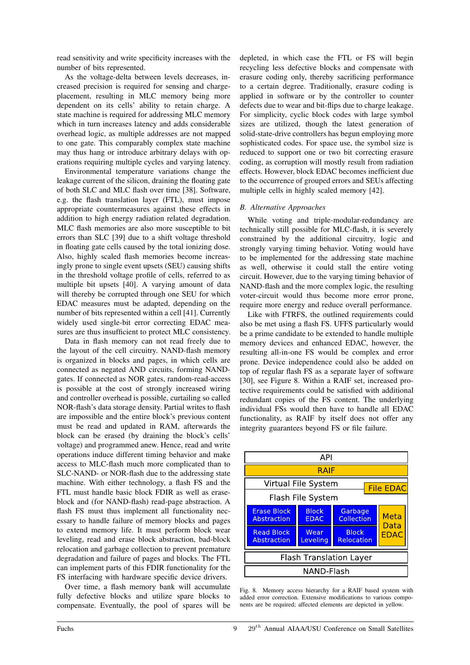read sensitivity and write specificity increases with the number of bits represented.

As the voltage-delta between levels decreases, increased precision is required for sensing and chargeplacement, resulting in MLC memory being more dependent on its cells' ability to retain charge. A state machine is required for addressing MLC memory which in turn increases latency and adds considerable overhead logic, as multiple addresses are not mapped to one gate. This comparably complex state machine may thus hang or introduce arbitrary delays with operations requiring multiple cycles and varying latency.

Environmental temperature variations change the leakage current of the silicon, draining the floating gate of both SLC and MLC flash over time [38]. Software, e.g. the flash translation layer (FTL), must impose appropriate countermeasures against these effects in addition to high energy radiation related degradation. MLC flash memories are also more susceptible to bit errors than SLC [39] due to a shift voltage threshold in floating gate cells caused by the total ionizing dose. Also, highly scaled flash memories become increasingly prone to single event upsets (SEU) causing shifts in the threshold voltage profile of cells, referred to as multiple bit upsets [40]. A varying amount of data will thereby be corrupted through one SEU for which EDAC measures must be adapted, depending on the number of bits represented within a cell [41]. Currently widely used single-bit error correcting EDAC measures are thus insufficient to protect MLC consistency.

Data in flash memory can not read freely due to the layout of the cell circuitry. NAND-flash memory is organized in blocks and pages, in which cells are connected as negated AND circuits, forming NANDgates. If connected as NOR gates, random-read-access is possible at the cost of strongly increased wiring and controller overhead is possible, curtailing so called NOR-flash's data storage density. Partial writes to flash are impossible and the entire block's previous content must be read and updated in RAM, afterwards the block can be erased (by draining the block's cells' voltage) and programmed anew. Hence, read and write operations induce different timing behavior and make access to MLC-flash much more complicated than to SLC-NAND- or NOR-flash due to the addressing state machine. With either technology, a flash FS and the FTL must handle basic block FDIR as well as eraseblock and (for NAND-flash) read-page abstraction. A flash FS must thus implement all functionality necessary to handle failure of memory blocks and pages to extend memory life. It must perform block wear leveling, read and erase block abstraction, bad-block relocation and garbage collection to prevent premature degradation and failure of pages and blocks. The FTL can implement parts of this FDIR functionality for the FS interfacing with hardware specific device drivers.

Over time, a flash memory bank will accumulate fully defective blocks and utilize spare blocks to compensate. Eventually, the pool of spares will be depleted, in which case the FTL or FS will begin recycling less defective blocks and compensate with erasure coding only, thereby sacrificing performance to a certain degree. Traditionally, erasure coding is applied in software or by the controller to counter defects due to wear and bit-flips due to charge leakage. For simplicity, cyclic block codes with large symbol sizes are utilized, though the latest generation of solid-state-drive controllers has begun employing more sophisticated codes. For space use, the symbol size is reduced to support one or two bit correcting erasure coding, as corruption will mostly result from radiation effects. However, block EDAC becomes inefficient due to the occurrence of grouped errors and SEUs affecting multiple cells in highly scaled memory [42].

# *B. Alternative Approaches*

While voting and triple-modular-redundancy are technically still possible for MLC-flash, it is severely constrained by the additional circuitry, logic and strongly varying timing behavior. Voting would have to be implemented for the addressing state machine as well, otherwise it could stall the entire voting circuit. However, due to the varying timing behavior of NAND-flash and the more complex logic, the resulting voter-circuit would thus become more error prone, require more energy and reduce overall performance.

Like with FTRFS, the outlined requirements could also be met using a flash FS. UFFS particularly would be a prime candidate to be extended to handle multiple memory devices and enhanced EDAC, however, the resulting all-in-one FS would be complex and error prone. Device independence could also be added on top of regular flash FS as a separate layer of software [30], see Figure 8. Within a RAIF set, increased protective requirements could be satisfied with additional redundant copies of the FS content. The underlying individual FSs would then have to handle all EDAC functionality, as RAIF by itself does not offer any integrity guarantees beyond FS or file failure.



Fig. 8. Memory access hierarchy for a RAIF based system with added error correction. Extensive modifications to various components are be required; affected elements are depicted in yellow.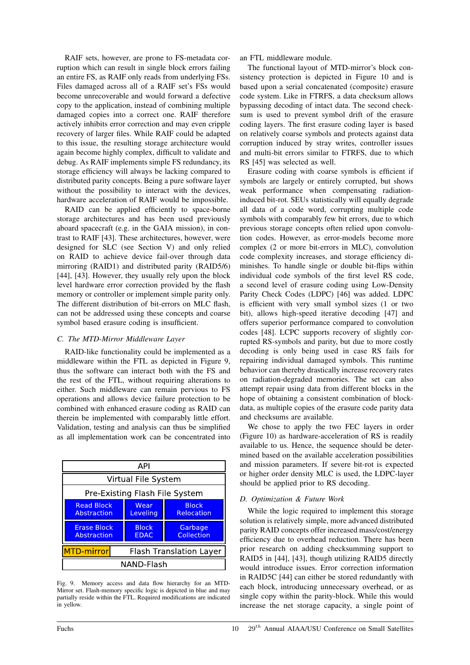RAIF sets, however, are prone to FS-metadata corruption which can result in single block errors failing an entire FS, as RAIF only reads from underlying FSs. Files damaged across all of a RAIF set's FSs would become unrecoverable and would forward a defective copy to the application, instead of combining multiple damaged copies into a correct one. RAIF therefore actively inhibits error correction and may even cripple recovery of larger files. While RAIF could be adapted to this issue, the resulting storage architecture would again become highly complex, difficult to validate and debug. As RAIF implements simple FS redundancy, its storage efficiency will always be lacking compared to distributed parity concepts. Being a pure software layer without the possibility to interact with the devices, hardware acceleration of RAIF would be impossible.

RAID can be applied efficiently to space-borne storage architectures and has been used previously aboard spacecraft (e.g. in the GAIA mission), in contrast to RAIF [43]. These architectures, however, were designed for SLC (see Section V) and only relied on RAID to achieve device fail-over through data mirroring (RAID1) and distributed parity (RAID5/6) [44], [43]. However, they usually rely upon the block level hardware error correction provided by the flash memory or controller or implement simple parity only. The different distribution of bit-errors on MLC flash, can not be addressed using these concepts and coarse symbol based erasure coding is insufficient.

# *C. The MTD-Mirror Middleware Layer*

RAID-like functionality could be implemented as a middleware within the FTL as depicted in Figure 9, thus the software can interact both with the FS and the rest of the FTL, without requiring alterations to either. Such middleware can remain pervious to FS operations and allows device failure protection to be combined with enhanced erasure coding as RAID can therein be implemented with comparably little effort. Validation, testing and analysis can thus be simplified as all implementation work can be concentrated into

| API                                                 |                             |                            |  |  |  |  |
|-----------------------------------------------------|-----------------------------|----------------------------|--|--|--|--|
| Virtual File System                                 |                             |                            |  |  |  |  |
| Pre-Existing Flash File System                      |                             |                            |  |  |  |  |
| <b>Read Block</b><br>Abstraction                    | Wear<br>Leveling            | <b>Block</b><br>Relocation |  |  |  |  |
| <b>Erase Block</b><br>Abstraction                   | <b>Block</b><br><b>EDAC</b> | Garbage<br>Collection      |  |  |  |  |
| <b>MTD-mirror</b><br><b>Flash Translation Layer</b> |                             |                            |  |  |  |  |
| NAND-Flash                                          |                             |                            |  |  |  |  |

Fig. 9. Memory access and data flow hierarchy for an MTD-Mirror set. Flash-memory specific logic is depicted in blue and may partially reside within the FTL. Required modifications are indicated in yellow.

an FTL middleware module.

The functional layout of MTD-mirror's block consistency protection is depicted in Figure 10 and is based upon a serial concatenated (composite) erasure code system. Like in FTRFS, a data checksum allows bypassing decoding of intact data. The second checksum is used to prevent symbol drift of the erasure coding layers. The first erasure coding layer is based on relatively coarse symbols and protects against data corruption induced by stray writes, controller issues and multi-bit errors similar to FTRFS, due to which RS [45] was selected as well.

Erasure coding with coarse symbols is efficient if symbols are largely or entirely corrupted, but shows weak performance when compensating radiationinduced bit-rot. SEUs statistically will equally degrade all data of a code word, corrupting multiple code symbols with comparably few bit errors, due to which previous storage concepts often relied upon convolution codes. However, as error-models become more complex (2 or more bit-errors in MLC), convolution code complexity increases, and storage efficiency diminishes. To handle single or double bit-flips within individual code symbols of the first level RS code, a second level of erasure coding using Low-Density Parity Check Codes (LDPC) [46] was added. LDPC is efficient with very small symbol sizes (1 or two bit), allows high-speed iterative decoding [47] and offers superior performance compared to convolution codes [48]. LCPC supports recovery of slightly corrupted RS-symbols and parity, but due to more costly decoding is only being used in case RS fails for repairing individual damaged symbols. This runtime behavior can thereby drastically increase recovery rates on radiation-degraded memories. The set can also attempt repair using data from different blocks in the hope of obtaining a consistent combination of blockdata, as multiple copies of the erasure code parity data and checksums are available.

We chose to apply the two FEC layers in order (Figure 10) as hardware-acceleration of RS is readily available to us. Hence, the sequence should be determined based on the available acceleration possibilities and mission parameters. If severe bit-rot is expected or higher order density MLC is used, the LDPC-layer should be applied prior to RS decoding.

# *D. Optimization & Future Work*

While the logic required to implement this storage solution is relatively simple, more advanced distributed parity RAID concepts offer increased mass/cost/energy efficiency due to overhead reduction. There has been prior research on adding checksumming support to RAID5 in [44], [43], though utilizing RAID5 directly would introduce issues. Error correction information in RAID5C [44] can either be stored redundantly with each block, introducing unnecessary overhead, or as single copy within the parity-block. While this would increase the net storage capacity, a single point of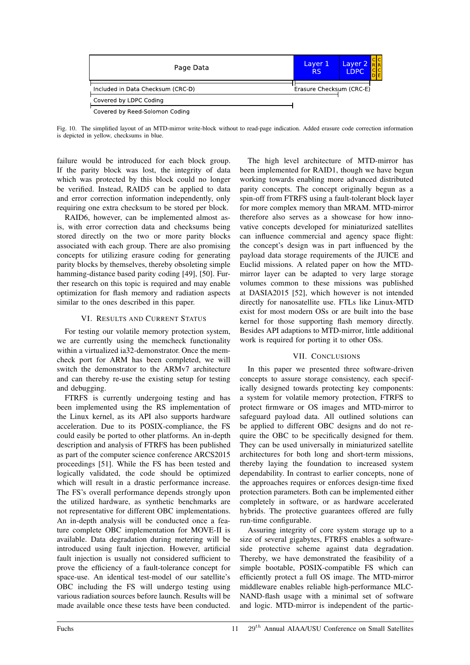| Page Data                         | Layer 1<br><b>RS</b>     | Layer 2<br><b>LDPC</b> | R R |
|-----------------------------------|--------------------------|------------------------|-----|
| Included in Data Checksum (CRC-D) | Erasure Checksum (CRC-E) |                        |     |
| Covered by LDPC Coding            |                          |                        |     |
| Covered by Reed-Solomon Coding    |                          |                        |     |

Fig. 10. The simplified layout of an MTD-mirror write-block without to read-page indication. Added erasure code correction information is depicted in yellow, checksums in blue.

failure would be introduced for each block group. If the parity block was lost, the integrity of data which was protected by this block could no longer be verified. Instead, RAID5 can be applied to data and error correction information independently, only requiring one extra checksum to be stored per block.

RAID6, however, can be implemented almost asis, with error correction data and checksums being stored directly on the two or more parity blocks associated with each group. There are also promising concepts for utilizing erasure coding for generating parity blocks by themselves, thereby obsoleting simple hamming-distance based parity coding [49], [50]. Further research on this topic is required and may enable optimization for flash memory and radiation aspects similar to the ones described in this paper.

# VI. RESULTS AND CURRENT STATUS

For testing our volatile memory protection system, we are currently using the memcheck functionality within a virtualized ia32-demonstrator. Once the memcheck port for ARM has been completed, we will switch the demonstrator to the ARMv7 architecture and can thereby re-use the existing setup for testing and debugging.

FTRFS is currently undergoing testing and has been implemented using the RS implementation of the Linux kernel, as its API also supports hardware acceleration. Due to its POSIX-compliance, the FS could easily be ported to other platforms. An in-depth description and analysis of FTRFS has been published as part of the computer science conference ARCS2015 proceedings [51]. While the FS has been tested and logically validated, the code should be optimized which will result in a drastic performance increase. The FS's overall performance depends strongly upon the utilized hardware, as synthetic benchmarks are not representative for different OBC implementations. An in-depth analysis will be conducted once a feature complete OBC implementation for MOVE-II is available. Data degradation during metering will be introduced using fault injection. However, artificial fault injection is usually not considered sufficient to prove the efficiency of a fault-tolerance concept for space-use. An identical test-model of our satellite's OBC including the FS will undergo testing using various radiation sources before launch. Results will be made available once these tests have been conducted.

The high level architecture of MTD-mirror has been implemented for RAID1, though we have begun working towards enabling more advanced distributed parity concepts. The concept originally begun as a spin-off from FTRFS using a fault-tolerant block layer for more complex memory than MRAM. MTD-mirror therefore also serves as a showcase for how innovative concepts developed for miniaturized satellites can influence commercial and agency space flight: the concept's design was in part influenced by the payload data storage requirements of the JUICE and Euclid missions. A related paper on how the MTDmirror layer can be adapted to very large storage volumes common to these missions was published at DASIA2015 [52], which however is not intended directly for nanosatellite use. FTLs like Linux-MTD exist for most modern OSs or are built into the base kernel for those supporting flash memory directly. Besides API adaptions to MTD-mirror, little additional work is required for porting it to other OSs.

# VII. CONCLUSIONS

In this paper we presented three software-driven concepts to assure storage consistency, each specifically designed towards protecting key components: a system for volatile memory protection, FTRFS to protect firmware or OS images and MTD-mirror to safeguard payload data. All outlined solutions can be applied to different OBC designs and do not require the OBC to be specifically designed for them. They can be used universally in miniaturized satellite architectures for both long and short-term missions, thereby laying the foundation to increased system dependability. In contrast to earlier concepts, none of the approaches requires or enforces design-time fixed protection parameters. Both can be implemented either completely in software, or as hardware accelerated hybrids. The protective guarantees offered are fully run-time configurable.

Assuring integrity of core system storage up to a size of several gigabytes, FTRFS enables a softwareside protective scheme against data degradation. Thereby, we have demonstrated the feasibility of a simple bootable, POSIX-compatible FS which can efficiently protect a full OS image. The MTD-mirror middleware enables reliable high-performance MLC-NAND-flash usage with a minimal set of software and logic. MTD-mirror is independent of the partic